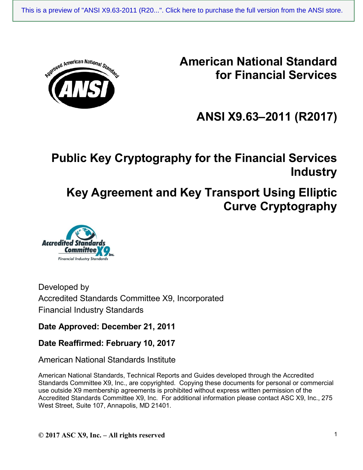

**American National Standard for Financial Services**

**ANSI X9.63–2011 (R2017)** 

# **Public Key Cryptography for the Financial Services Industry**

# **Key Agreement and Key Transport Using Elliptic Curve Cryptography**



Developed by Accredited Standards Committee X9, Incorporated Financial Industry Standards

# **Date Approved: December 21, 2011**

# **Date Reaffirmed: February 10, 2017**

American National Standards Institute

American National Standards, Technical Reports and Guides developed through the Accredited Standards Committee X9, Inc., are copyrighted. Copying these documents for personal or commercial use outside X9 membership agreements is prohibited without express written permission of the Accredited Standards Committee X9, Inc. For additional information please contact ASC X9, Inc., 275 West Street, Suite 107, Annapolis, MD 21401.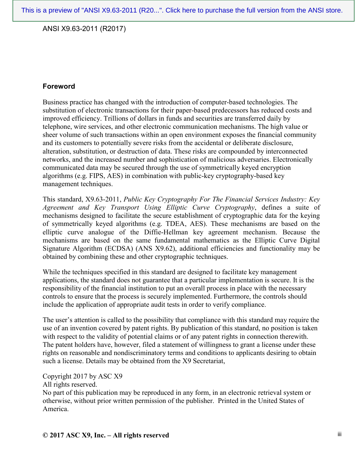#### **Foreword**

Business practice has changed with the introduction of computer-based technologies. The substitution of electronic transactions for their paper-based predecessors has reduced costs and improved efficiency. Trillions of dollars in funds and securities are transferred daily by telephone, wire services, and other electronic communication mechanisms. The high value or sheer volume of such transactions within an open environment exposes the financial community and its customers to potentially severe risks from the accidental or deliberate disclosure, alteration, substitution, or destruction of data. These risks are compounded by interconnected networks, and the increased number and sophistication of malicious adversaries. Electronically communicated data may be secured through the use of symmetrically keyed encryption algorithms (e.g. FIPS, AES) in combination with public-key cryptography-based key management techniques.

This standard, X9.63-2011, *Public Key Cryptography For The Financial Services Industry: Key Agreement and Key Transport Using Elliptic Curve Cryptography*, defines a suite of mechanisms designed to facilitate the secure establishment of cryptographic data for the keying of symmetrically keyed algorithms (e.g. TDEA, AES). These mechanisms are based on the elliptic curve analogue of the Diffie-Hellman key agreement mechanism. Because the mechanisms are based on the same fundamental mathematics as the Elliptic Curve Digital Signature Algorithm (ECDSA) (ANS X9.62), additional efficiencies and functionality may be obtained by combining these and other cryptographic techniques.

While the techniques specified in this standard are designed to facilitate key management applications, the standard does not guarantee that a particular implementation is secure. It is the responsibility of the financial institution to put an overall process in place with the necessary controls to ensure that the process is securely implemented. Furthermore, the controls should include the application of appropriate audit tests in order to verify compliance.

The user's attention is called to the possibility that compliance with this standard may require the use of an invention covered by patent rights. By publication of this standard, no position is taken with respect to the validity of potential claims or of any patent rights in connection therewith. The patent holders have, however, filed a statement of willingness to grant a license under these rights on reasonable and nondiscriminatory terms and conditions to applicants desiring to obtain such a license. Details may be obtained from the X9 Secretariat,

Copyright 2017 by ASC X9

All rights reserved.

No part of this publication may be reproduced in any form, in an electronic retrieval system or otherwise, without prior written permission of the publisher. Printed in the United States of America.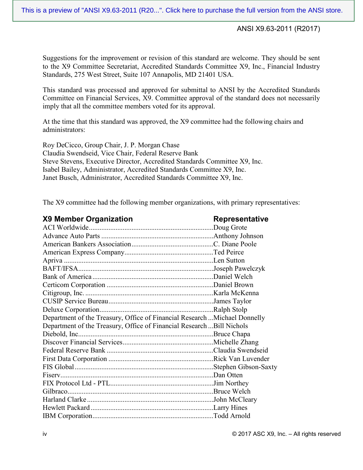Suggestions for the improvement or revision of this standard are welcome. They should be sent to the X9 Committee Secretariat, Accredited Standards Committee X9, Inc., Financial Industry Standards, 275 West Street, Suite 107 Annapolis, MD 21401 USA.

This standard was processed and approved for submittal to ANSI by the Accredited Standards Committee on Financial Services, X9. Committee approval of the standard does not necessarily imply that all the committee members voted for its approval.

At the time that this standard was approved, the X9 committee had the following chairs and administrators:

Roy DeCicco, Group Chair, J. P. Morgan Chase Claudia Swendseid, Vice Chair, Federal Reserve Bank Steve Stevens, Executive Director, Accredited Standards Committee X9, Inc. Isabel Bailey, Administrator, Accredited Standards Committee X9, Inc. Janet Busch, Administrator, Accredited Standards Committee X9, Inc.

The X9 committee had the following member organizations, with primary representatives:

| X9 Member Organization                                                     | <b>Representative</b> |
|----------------------------------------------------------------------------|-----------------------|
|                                                                            |                       |
|                                                                            |                       |
|                                                                            |                       |
|                                                                            |                       |
|                                                                            |                       |
|                                                                            |                       |
|                                                                            |                       |
|                                                                            |                       |
|                                                                            |                       |
|                                                                            |                       |
|                                                                            |                       |
| Department of the Treasury, Office of Financial Research  Michael Donnelly |                       |
| Department of the Treasury, Office of Financial Research  Bill Nichols     |                       |
| Diebold, Inc.                                                              |                       |
|                                                                            |                       |
|                                                                            |                       |
|                                                                            |                       |
|                                                                            |                       |
|                                                                            |                       |
|                                                                            |                       |
|                                                                            |                       |
|                                                                            |                       |
|                                                                            |                       |
|                                                                            |                       |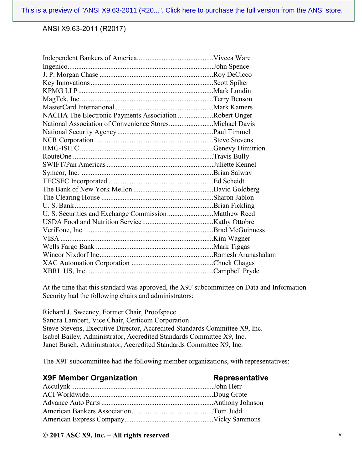| NACHA The Electronic Payments Association Robert Unger |  |
|--------------------------------------------------------|--|
|                                                        |  |
|                                                        |  |
|                                                        |  |
|                                                        |  |
|                                                        |  |
|                                                        |  |
|                                                        |  |
|                                                        |  |
|                                                        |  |
|                                                        |  |
|                                                        |  |
|                                                        |  |
|                                                        |  |
|                                                        |  |
|                                                        |  |
|                                                        |  |
|                                                        |  |
|                                                        |  |
|                                                        |  |

At the time that this standard was approved, the X9F subcommittee on Data and Information Security had the following chairs and administrators:

Richard J. Sweeney, Former Chair, Proofspace Sandra Lambert, Vice Chair, Certicom Corporation Steve Stevens, Executive Director, Accredited Standards Committee X9, Inc. Isabel Bailey, Administrator, Accredited Standards Committee X9, Inc. Janet Busch, Administrator, Accredited Standards Committee X9, Inc.

The X9F subcommittee had the following member organizations, with representatives:

| <b>X9F Member Organization</b> | Representative |
|--------------------------------|----------------|
|                                |                |
|                                |                |
|                                |                |
|                                |                |
|                                |                |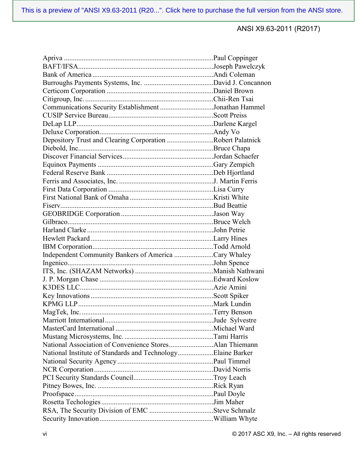| Communications Security Establishment Jonathan Hammel       |  |
|-------------------------------------------------------------|--|
|                                                             |  |
|                                                             |  |
|                                                             |  |
| Depository Trust and Clearing Corporation Robert Palatnick  |  |
|                                                             |  |
|                                                             |  |
|                                                             |  |
|                                                             |  |
|                                                             |  |
|                                                             |  |
|                                                             |  |
|                                                             |  |
|                                                             |  |
|                                                             |  |
|                                                             |  |
|                                                             |  |
|                                                             |  |
| Independent Community Bankers of America Cary Whaley        |  |
|                                                             |  |
|                                                             |  |
|                                                             |  |
|                                                             |  |
|                                                             |  |
|                                                             |  |
|                                                             |  |
|                                                             |  |
|                                                             |  |
|                                                             |  |
|                                                             |  |
| National Institute of Standards and TechnologyElaine Barker |  |
|                                                             |  |
|                                                             |  |
|                                                             |  |
|                                                             |  |
|                                                             |  |
|                                                             |  |
|                                                             |  |
|                                                             |  |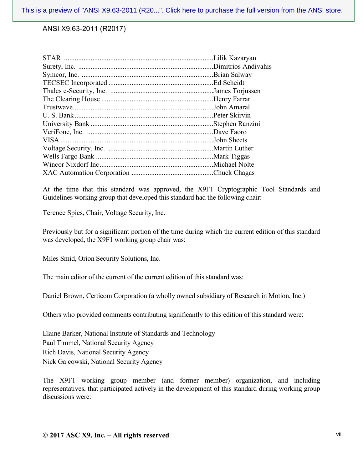| Lilik Kazaryan.     |
|---------------------|
| Dimitrios Andivahis |
|                     |
| .Ed Scheidt         |
|                     |
| Henry Farrar        |
| .John Amaral        |
|                     |
| Stephen Ranzini     |
|                     |
| John Sheets         |
| Martin Luther       |
|                     |
| Michael Nolte       |
|                     |

At the time that this standard was approved, the X9F1 Cryptographic Tool Standards and Guidelines working group that developed this standard had the following chair:

Terence Spies, Chair, Voltage Security, Inc.

Previously but for a significant portion of the time during which the current edition of this standard was developed, the X9F1 working group chair was:

Miles Smid, Orion Security Solutions, Inc.

The main editor of the current of the current edition of this standard was:

Daniel Brown, Certicom Corporation (a wholly owned subsidiary of Research in Motion, Inc.)

Others who provided comments contributing significantly to this edition of this standard were:

Elaine Barker, National Institute of Standards and Technology Paul Timmel, National Security Agency Rich Davis, National Security Agency Nick Gajcowski, National Security Agency

The X9F1 working group member (and former member) organization, and including representatives, that participated actively in the development of this standard during working group discussions were: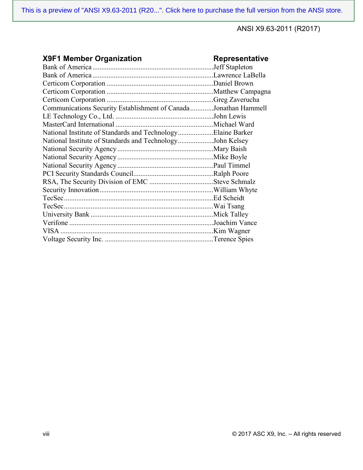| <b>X9F1 Member Organization</b>                                 | <b>Representative</b> |
|-----------------------------------------------------------------|-----------------------|
|                                                                 |                       |
|                                                                 |                       |
|                                                                 |                       |
|                                                                 |                       |
|                                                                 |                       |
| Communications Security Establishment of CanadaJonathan Hammell |                       |
|                                                                 |                       |
|                                                                 |                       |
| National Institute of Standards and TechnologyElaine Barker     |                       |
| National Institute of Standards and TechnologyJohn Kelsey       |                       |
|                                                                 |                       |
|                                                                 |                       |
|                                                                 |                       |
|                                                                 |                       |
|                                                                 |                       |
|                                                                 |                       |
|                                                                 |                       |
|                                                                 |                       |
|                                                                 |                       |
|                                                                 |                       |
|                                                                 |                       |
|                                                                 |                       |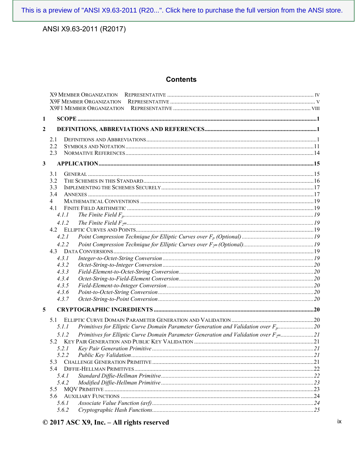ANSI X9.63-2011 (R2017)

### **Contents**

| 1            |                                                                                                  |  |
|--------------|--------------------------------------------------------------------------------------------------|--|
| $\mathbf{2}$ |                                                                                                  |  |
|              | 2.1                                                                                              |  |
|              | 2.2                                                                                              |  |
|              | 2.3                                                                                              |  |
| $\mathbf{3}$ |                                                                                                  |  |
|              | 3.1                                                                                              |  |
|              | 3.2                                                                                              |  |
|              | 3.3                                                                                              |  |
|              | 3.4                                                                                              |  |
|              | $\overline{4}$                                                                                   |  |
|              | 4.1                                                                                              |  |
|              | 4.1.1                                                                                            |  |
|              | 4.1.2                                                                                            |  |
|              | 4.2.1                                                                                            |  |
|              |                                                                                                  |  |
|              | 4.2.2                                                                                            |  |
|              | 4.3.1                                                                                            |  |
|              | 4.3.2                                                                                            |  |
|              | 4.3.3                                                                                            |  |
|              | 4.3.4                                                                                            |  |
|              | 4.3.5                                                                                            |  |
|              | 4.3.6                                                                                            |  |
|              | 4.3.7                                                                                            |  |
| 5            |                                                                                                  |  |
|              | 5.1                                                                                              |  |
|              | Primitives for Elliptic Curve Domain Parameter Generation and Validation over $F_p$ 20<br>5.1.1  |  |
|              | Primitives for Elliptic Curve Domain Parameter Generation and Validation over $F_2$ m21<br>5.1.2 |  |
|              | 5.2                                                                                              |  |
|              | 5.2.1                                                                                            |  |
|              | 5.2.2                                                                                            |  |
|              | 5.3<br>5.4                                                                                       |  |
|              | 5.4.1                                                                                            |  |
|              | 5.4.2                                                                                            |  |
|              | 5.5                                                                                              |  |
|              | 5.6                                                                                              |  |
|              | 5.6.1                                                                                            |  |
|              | 5.6.2                                                                                            |  |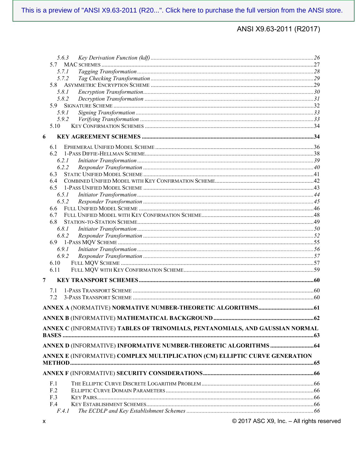| 5.6.3                                                                         |    |
|-------------------------------------------------------------------------------|----|
|                                                                               |    |
| 5.7.1                                                                         |    |
| 5.7.2                                                                         |    |
| 5.8.1                                                                         |    |
| 5.8.2                                                                         |    |
| 5.9                                                                           |    |
| 5.9.1                                                                         |    |
| 5.9.2                                                                         |    |
| 5.10                                                                          |    |
| 6                                                                             |    |
| 6.1                                                                           |    |
| 6.2                                                                           |    |
| 6.2.1                                                                         |    |
| 6.2.2                                                                         |    |
| 6.3                                                                           |    |
| 6.4                                                                           |    |
| 6.5                                                                           |    |
| 6.5.1                                                                         |    |
| 6.5.2                                                                         |    |
| 6.6                                                                           |    |
| 6.7                                                                           |    |
| 6.8<br>6.8.1                                                                  |    |
| 6.8.2                                                                         |    |
|                                                                               |    |
| 6.9.1                                                                         |    |
| 6.9.2                                                                         |    |
| 6.10                                                                          |    |
| 6.11                                                                          |    |
| 7                                                                             |    |
| 7.1                                                                           |    |
| 7.2                                                                           |    |
|                                                                               |    |
| ANNEX B (INFORMATIVE) MATHEMATICAL BACKGROUND.                                | 62 |
| ANNEX C (INFORMATIVE) TABLES OF TRINOMIALS, PENTANOMIALS, AND GAUSSIAN NORMAL |    |
|                                                                               |    |
|                                                                               |    |
| ANNEX E (INFORMATIVE) COMPLEX MULTIPLICATION (CM) ELLIPTIC CURVE GENERATION   |    |
|                                                                               |    |
|                                                                               |    |
| F.1                                                                           |    |
| F.2                                                                           |    |
| F.3<br>F.4                                                                    |    |
| F.4.1                                                                         |    |
|                                                                               |    |

© 2017 ASC X9, Inc. - All rights reserved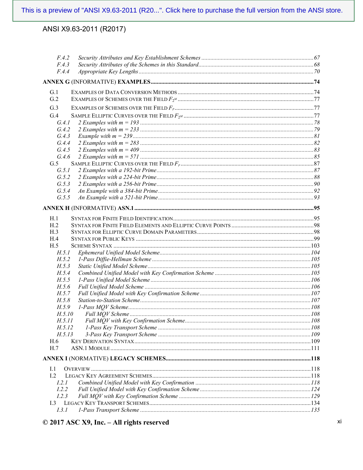| F.4.2          |  |
|----------------|--|
| F.4.3          |  |
| <i>F.4.4</i>   |  |
|                |  |
| G.1            |  |
| G.2            |  |
| G.3            |  |
| G.4            |  |
| G.4.1          |  |
| G.4.2          |  |
| G.4.3          |  |
| G.4.4          |  |
| G.4.5          |  |
| G.4.6          |  |
| G.5            |  |
| G.5.1          |  |
| G.5.2          |  |
| G.5.3          |  |
| G.5.4          |  |
| G.5.5          |  |
|                |  |
| H.1            |  |
| H.2            |  |
| H.3            |  |
| H.4            |  |
| H.5            |  |
| H.5.1          |  |
| H.5.2          |  |
| H.5.3          |  |
| H.5.4          |  |
| H.5.5          |  |
| H.5.6          |  |
| H.5.7          |  |
| H.5.8          |  |
| H.5.9          |  |
| H.5.10         |  |
| H.5.11         |  |
| H.5.12         |  |
| H.5.13         |  |
| H.6            |  |
| H.7            |  |
|                |  |
| L1             |  |
| L <sub>2</sub> |  |
| 1.2.1          |  |
| I.2.2          |  |
| I.2.3          |  |
| 1.3            |  |
| I.3.1          |  |

# © 2017 ASC X9, Inc. - All rights reserved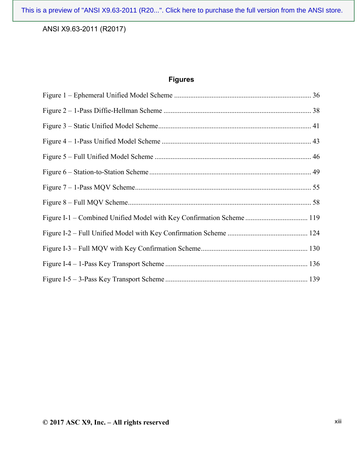ANSI X9.63-2011 (R2017)

# **Figures**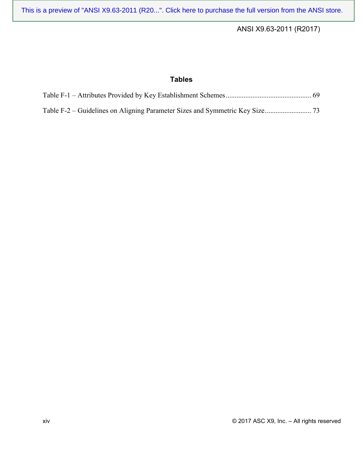ANSI X9.63-2011 (R2017)

### **Tables**